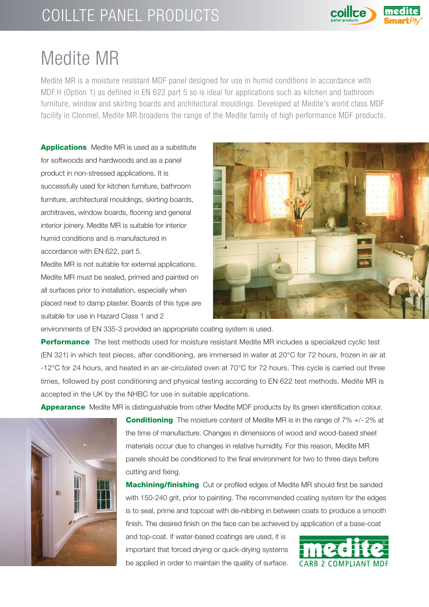## COILLTE PANEL PRODUCTS



## Medite MR

Medite MR is a moisture resistant MDF panel designed for use in humid conditions in accordance with MDF.H (Option 1) as defined in EN 622 part 5 so is ideal for applications such as kitchen and bathroom furniture, window and skirting boards and architectural mouldings. Developed at Medite's world class MDF facility in Clonmel, Medite MR broadens the range of the Medite family of high performance MDF products.

**Applications** Medite MR is used as a substitute for softwoods and hardwoods and as a panel product in non-stressed applications. It is successfully used for kitchen furniture, bathroom furniture, architectural mouldings, skirting boards, architraves, window boards, flooring and general interior joinery. Medite MR is suitable for interior humid conditions and is manufactured in accordance with EN 622, part 5.

Medite MR is not suitable for external applications. Medite MR must be sealed, primed and painted on all surfaces prior to installation, especially when placed next to damp plaster. Boards of this type are suitable for use in Hazard Class 1 and 2



environments of EN 335-3 provided an appropriate coating system is used.

**Performance** The test methods used for moisture resistant Medite MR includes a specialized cyclic test (EN 321) in which test pieces, after conditioning, are immersed in water at 20°C for 72 hours, frozen in air at -12°C for 24 hours, and heated in an air-circulated oven at 70°C for 72 hours. This cycle is carried out three times, followed by post conditioning and physical testing according to EN 622 test methods. Medite MR is accepted in the UK by the NHBC for use in suitable applications.

**Appearance** Medite MR is distinguishable from other Medite MDF products by its green identification colour.



**Conditioning** The moisture content of Medite MR is in the range of 7% +/- 2% at the time of manufacture. Changes in dimensions of wood and wood-based sheet materials occur due to changes in relative humidity. For this reason, Medite MR panels should be conditioned to the final environment for two to three days before cutting and fixing.

**Machining/finishing** Cut or profiled edges of Medite MR should first be sanded with 150-240 grit, prior to painting. The recommended coating system for the edges is to seal, prime and topcoat with de-nibbing in between coats to produce a smooth finish. The desired finish on the face can be achieved by application of a base-coat

and top-coat. If water-based coatings are used, it is important that forced drying or quick-drying systems be applied in order to maintain the quality of surface.